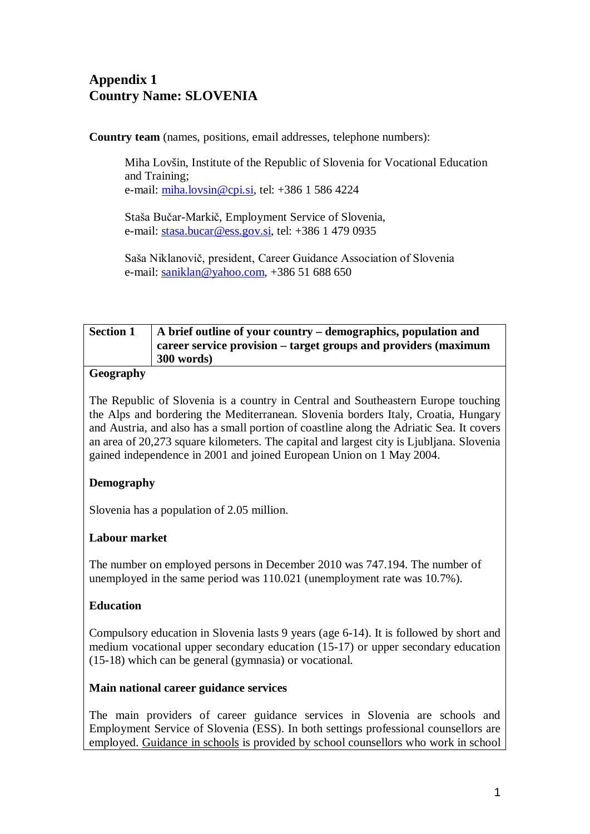# **Appendix 1 Country Name: SLOVENIA**

**Country team** (names, positions, email addresses, telephone numbers):

Miha Lovšin, Institute of the Republic of Slovenia for Vocational Education and Training; e-mail: [miha.lovsin@cpi.si,](mailto:miha.lovsin@cpi.si) tel: +386 1 586 4224

Staša Bučar-Markič, Employment Service of Slovenia, e-mail: [stasa.bucar@ess.gov.si,](mailto:stasa.bucar@ess.gov.si) tel: +386 1 479 0935

Saša Niklanovič, president, Career Guidance Association of Slovenia e-mail: [saniklan@yahoo.com,](mailto:saniklan@yahoo.com) +386 51 688 650

## **Section 1 A brief outline of your country – demographics, population and career service provision – target groups and providers (maximum 300 words)**

## **Geography**

The Republic of Slovenia is a [country](http://en.wikipedia.org/wiki/Country) in [Central](http://en.wikipedia.org/wiki/Central_Europe) and [Southeastern](http://en.wikipedia.org/wiki/Southeastern_Europe) Europe touching the [Alps](http://en.wikipedia.org/wiki/Alps) and bordering the [Mediterranean.](http://en.wikipedia.org/wiki/Mediterranean) Slovenia borders [Italy,](http://en.wikipedia.org/wiki/Italy) [Croatia,](http://en.wikipedia.org/wiki/Croatia) [Hungary](http://en.wikipedia.org/wiki/Hungary) and [Austria,](http://en.wikipedia.org/wiki/Austria) and also has a small portion of coastline along the [Adriatic Sea.](http://en.wikipedia.org/wiki/Adriatic_Sea) It covers an area of 20,273 square kilometers. The capital and largest city is Ljubljana. Slovenia gained independence in 2001 and joined European Union on 1 May 2004.

## **Demography**

Slovenia has a population of 2.05 million.

#### **Labour market**

The number on employed persons in December 2010 was 747.194. The number of unemployed in the same period was 110.021 (unemployment rate was 10.7%).

#### **Education**

Compulsory education in Slovenia lasts 9 years (age 6-14). It is followed by short and medium vocational upper secondary education (15-17) or upper secondary education (15-18) which can be general (gymnasia) or vocational.

#### **Main national career guidance services**

<span id="page-0-0"></span>The main providers of career guidance services in Slovenia are schools and Employment Service of Slovenia (ESS). In both settings professional counsellors are employed. Guidance in schools is provided by school counsellors who work in school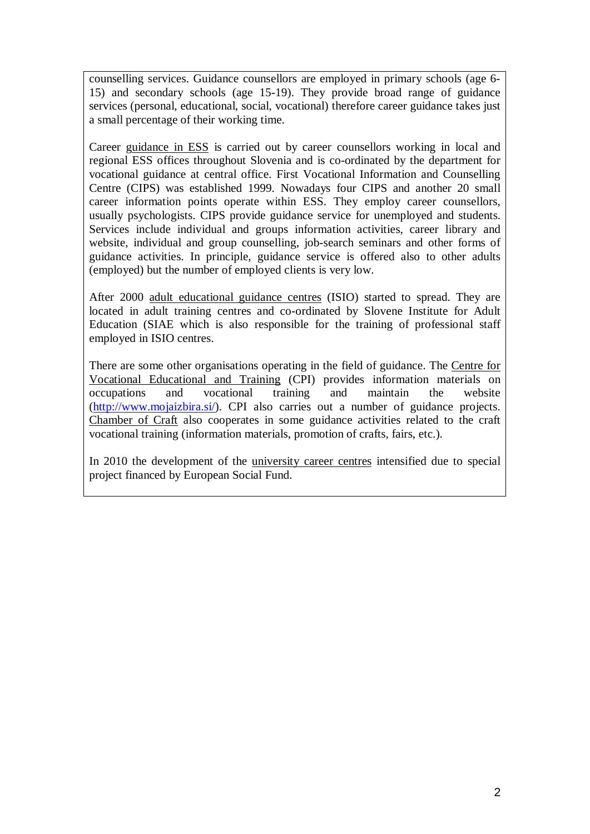counselling services. Guidance counsellors are employed in primary schools (age 6- 15) and secondary schools (age 15-19). They provide broad range of guidance services (personal, educational, social, vocational) therefore career guidance takes just a small percentage of their working time.

Career guidance in ESS is carried out by career counsellors working in local and regional ESS offices throughout Slovenia and is co-ordinated by the department for vocational guidance at central office. First Vocational Information and Counselling Centre (CIPS) was established 1999. Nowadays four CIPS and another 20 small career information points operate within ESS. They employ career counsellors, usually psychologists. CIPS provide guidance service for unemployed and students. Services include individual and groups information activities, career library and website, individual and group counselling, job-search seminars and other forms of guidance activities. In principle, guidance service is offered also to other adults (employed) but the number of employed clients is very low.

After 2000 adult educational guidance centres (ISIO) started to spread. They are located in adult training centres and co-ordinated by Slovene Institute for Adult Education (SIAE which is also responsible for the training of professional staff employed in ISIO centres.

There are some other organisations operating in the field of guidance. The Centre for Vocational Educational and Training (CPI) provides information materials on occupations and vocational training and maintain the website [\(http://www.mojaizbira.si/\)](http://www.mojaizbira.si/). CPI also carries out a number of guidance projects. Chamber of Craft also cooperates in some guidance activities related to the craft vocational training (information materials, promotion of crafts, fairs, etc.).

In 2010 the development of the university career centres intensified due to special project financed by European Social Fund.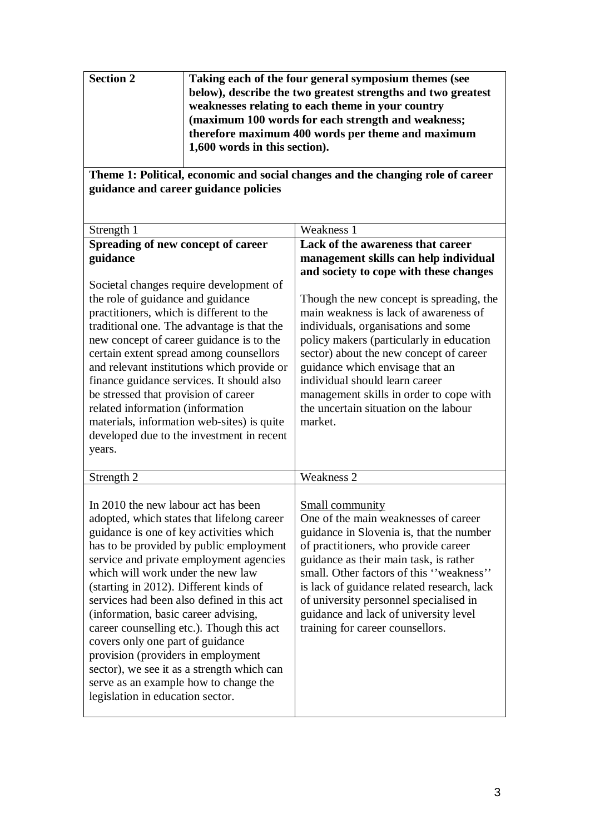| <b>Section 2</b> | Taking each of the four general symposium themes (see        |
|------------------|--------------------------------------------------------------|
|                  | below), describe the two greatest strengths and two greatest |
|                  | weaknesses relating to each theme in your country            |
|                  | (maximum 100 words for each strength and weakness;           |
|                  | therefore maximum 400 words per theme and maximum            |
|                  | 1,600 words in this section).                                |
|                  |                                                              |

**Theme 1: Political, economic and social changes and the changing role of career guidance and career guidance policies**

| Strength 1                                                                                                                                                                                                                                                                                                                                                                                                                                                                                                                                                                                                                                | Weakness 1                                                                                                                                                                                                                                                                                                                                                                                            |
|-------------------------------------------------------------------------------------------------------------------------------------------------------------------------------------------------------------------------------------------------------------------------------------------------------------------------------------------------------------------------------------------------------------------------------------------------------------------------------------------------------------------------------------------------------------------------------------------------------------------------------------------|-------------------------------------------------------------------------------------------------------------------------------------------------------------------------------------------------------------------------------------------------------------------------------------------------------------------------------------------------------------------------------------------------------|
| Spreading of new concept of career                                                                                                                                                                                                                                                                                                                                                                                                                                                                                                                                                                                                        | Lack of the awareness that career                                                                                                                                                                                                                                                                                                                                                                     |
| guidance                                                                                                                                                                                                                                                                                                                                                                                                                                                                                                                                                                                                                                  | management skills can help individual                                                                                                                                                                                                                                                                                                                                                                 |
|                                                                                                                                                                                                                                                                                                                                                                                                                                                                                                                                                                                                                                           | and society to cope with these changes                                                                                                                                                                                                                                                                                                                                                                |
| Societal changes require development of<br>the role of guidance and guidance<br>practitioners, which is different to the<br>traditional one. The advantage is that the<br>new concept of career guidance is to the<br>certain extent spread among counsellors<br>and relevant institutions which provide or<br>finance guidance services. It should also<br>be stressed that provision of career<br>related information (information<br>materials, information web-sites) is quite<br>developed due to the investment in recent<br>years.                                                                                                 | Though the new concept is spreading, the<br>main weakness is lack of awareness of<br>individuals, organisations and some<br>policy makers (particularly in education<br>sector) about the new concept of career<br>guidance which envisage that an<br>individual should learn career<br>management skills in order to cope with<br>the uncertain situation on the labour<br>market.                   |
| Strength 2                                                                                                                                                                                                                                                                                                                                                                                                                                                                                                                                                                                                                                | Weakness 2                                                                                                                                                                                                                                                                                                                                                                                            |
| In 2010 the new labour act has been<br>adopted, which states that lifelong career<br>guidance is one of key activities which<br>has to be provided by public employment<br>service and private employment agencies<br>which will work under the new law<br>(starting in 2012). Different kinds of<br>services had been also defined in this act<br>(information, basic career advising,<br>career counselling etc.). Though this act<br>covers only one part of guidance<br>provision (providers in employment<br>sector), we see it as a strength which can<br>serve as an example how to change the<br>legislation in education sector. | Small community<br>One of the main weaknesses of career<br>guidance in Slovenia is, that the number<br>of practitioners, who provide career<br>guidance as their main task, is rather<br>small. Other factors of this "weakness"<br>is lack of guidance related research, lack<br>of university personnel specialised in<br>guidance and lack of university level<br>training for career counsellors. |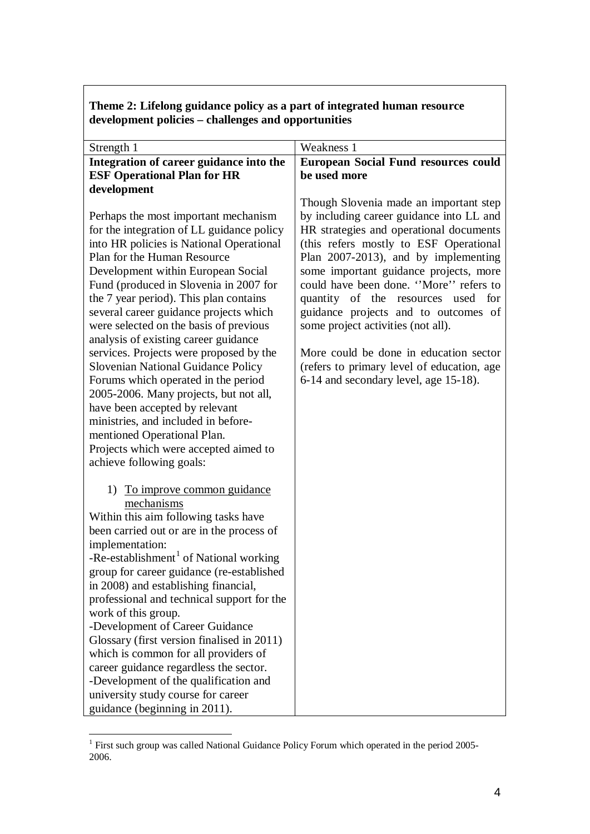| Theme 2: Lifelong guidance policy as a part of integrated human resource |
|--------------------------------------------------------------------------|
| development policies – challenges and opportunities                      |

| Strength 1                                                                                                                                             | Weakness 1                                  |
|--------------------------------------------------------------------------------------------------------------------------------------------------------|---------------------------------------------|
| Integration of career guidance into the                                                                                                                | <b>European Social Fund resources could</b> |
| <b>ESF Operational Plan for HR</b>                                                                                                                     | be used more                                |
| development                                                                                                                                            |                                             |
|                                                                                                                                                        | Though Slovenia made an important step      |
| Perhaps the most important mechanism                                                                                                                   | by including career guidance into LL and    |
| for the integration of LL guidance policy                                                                                                              | HR strategies and operational documents     |
| into HR policies is National Operational                                                                                                               | (this refers mostly to ESF Operational      |
| Plan for the Human Resource                                                                                                                            | Plan 2007-2013), and by implementing        |
| Development within European Social                                                                                                                     | some important guidance projects, more      |
| Fund (produced in Slovenia in 2007 for                                                                                                                 | could have been done. "More" refers to      |
| the 7 year period). This plan contains                                                                                                                 | quantity of the resources used for          |
| several career guidance projects which                                                                                                                 | guidance projects and to outcomes of        |
| were selected on the basis of previous                                                                                                                 | some project activities (not all).          |
| analysis of existing career guidance                                                                                                                   |                                             |
| services. Projects were proposed by the                                                                                                                | More could be done in education sector      |
| <b>Slovenian National Guidance Policy</b>                                                                                                              | (refers to primary level of education, age  |
| Forums which operated in the period                                                                                                                    | 6-14 and secondary level, age 15-18).       |
| 2005-2006. Many projects, but not all,                                                                                                                 |                                             |
| have been accepted by relevant                                                                                                                         |                                             |
| ministries, and included in before-                                                                                                                    |                                             |
| mentioned Operational Plan.<br>Projects which were accepted aimed to                                                                                   |                                             |
| achieve following goals:                                                                                                                               |                                             |
|                                                                                                                                                        |                                             |
| 1) To improve common guidance                                                                                                                          |                                             |
| mechanisms                                                                                                                                             |                                             |
| Within this aim following tasks have                                                                                                                   |                                             |
| been carried out or are in the process of                                                                                                              |                                             |
| implementation:                                                                                                                                        |                                             |
| -Re-establishment <sup>1</sup> of National working                                                                                                     |                                             |
| group for career guidance (re-established                                                                                                              |                                             |
| in 2008) and establishing financial,                                                                                                                   |                                             |
| professional and technical support for the                                                                                                             |                                             |
| work of this group.                                                                                                                                    |                                             |
| -Development of Career Guidance                                                                                                                        |                                             |
| Glossary (first version finalised in 2011)                                                                                                             |                                             |
| which is common for all providers of                                                                                                                   |                                             |
|                                                                                                                                                        |                                             |
|                                                                                                                                                        |                                             |
|                                                                                                                                                        |                                             |
| career guidance regardless the sector.<br>-Development of the qualification and<br>university study course for career<br>guidance (beginning in 2011). |                                             |

<sup>1&</sup>lt;br><sup>1</sup> First such group was called National Guidance Policy Forum which operated in the period 2005-2006.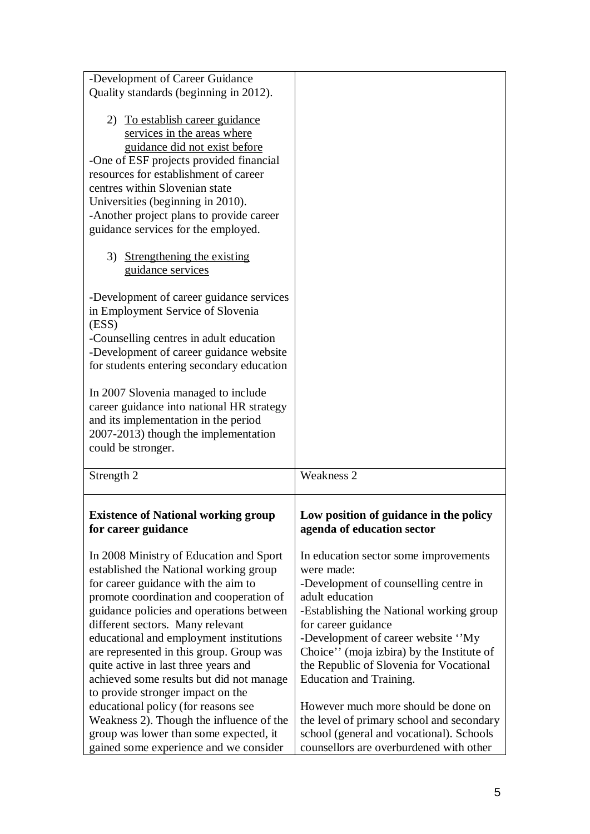| -Development of Career Guidance            |                                           |
|--------------------------------------------|-------------------------------------------|
|                                            |                                           |
| Quality standards (beginning in 2012).     |                                           |
|                                            |                                           |
| 2) To establish career guidance            |                                           |
|                                            |                                           |
| services in the areas where                |                                           |
| guidance did not exist before              |                                           |
| -One of ESF projects provided financial    |                                           |
| resources for establishment of career      |                                           |
| centres within Slovenian state             |                                           |
| Universities (beginning in 2010).          |                                           |
|                                            |                                           |
| -Another project plans to provide career   |                                           |
| guidance services for the employed.        |                                           |
|                                            |                                           |
| 3) Strengthening the existing              |                                           |
| guidance services                          |                                           |
|                                            |                                           |
|                                            |                                           |
| -Development of career guidance services   |                                           |
| in Employment Service of Slovenia          |                                           |
| (ESS)                                      |                                           |
| -Counselling centres in adult education    |                                           |
| -Development of career guidance website    |                                           |
| for students entering secondary education  |                                           |
|                                            |                                           |
|                                            |                                           |
| In 2007 Slovenia managed to include        |                                           |
| career guidance into national HR strategy  |                                           |
| and its implementation in the period       |                                           |
| 2007-2013) though the implementation       |                                           |
|                                            |                                           |
|                                            |                                           |
| could be stronger.                         |                                           |
|                                            |                                           |
| Strength 2                                 | <b>Weakness 2</b>                         |
|                                            |                                           |
| <b>Existence of National working group</b> | Low position of guidance in the policy    |
| for career guidance                        | agenda of education sector                |
|                                            |                                           |
|                                            |                                           |
| In 2008 Ministry of Education and Sport    | In education sector some improvements     |
| established the National working group     | were made:                                |
| for career guidance with the aim to        | -Development of counselling centre in     |
| promote coordination and cooperation of    | adult education                           |
| guidance policies and operations between   | -Establishing the National working group  |
| different sectors. Many relevant           | for career guidance                       |
|                                            | -Development of career website "My        |
| educational and employment institutions    |                                           |
| are represented in this group. Group was   | Choice" (moja izbira) by the Institute of |
| quite active in last three years and       | the Republic of Slovenia for Vocational   |
| achieved some results but did not manage   | Education and Training.                   |
| to provide stronger impact on the          |                                           |
| educational policy (for reasons see        | However much more should be done on       |
| Weakness 2). Though the influence of the   | the level of primary school and secondary |
| group was lower than some expected, it     | school (general and vocational). Schools  |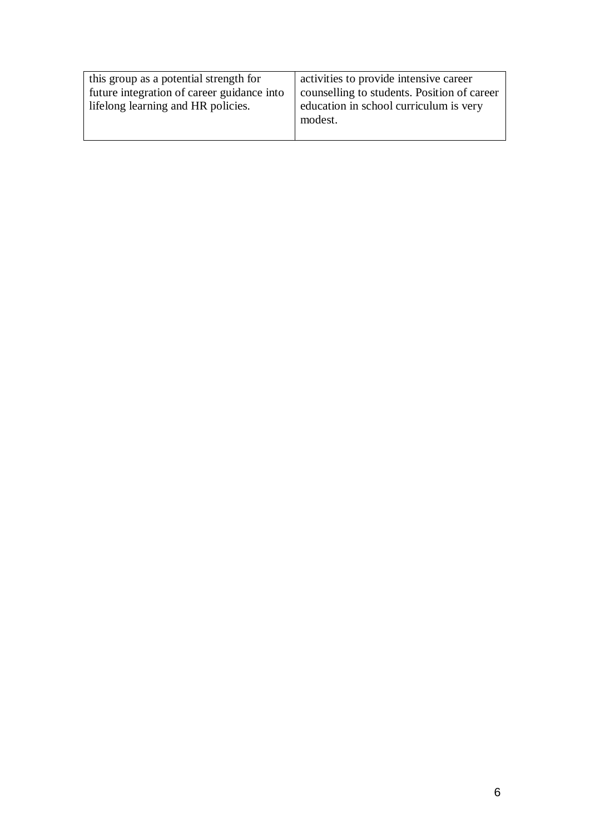| this group as a potential strength for     | activities to provide intensive career      |
|--------------------------------------------|---------------------------------------------|
| future integration of career guidance into | counselling to students. Position of career |
| lifelong learning and HR policies.         | education in school curriculum is very      |
|                                            | modest.                                     |
|                                            |                                             |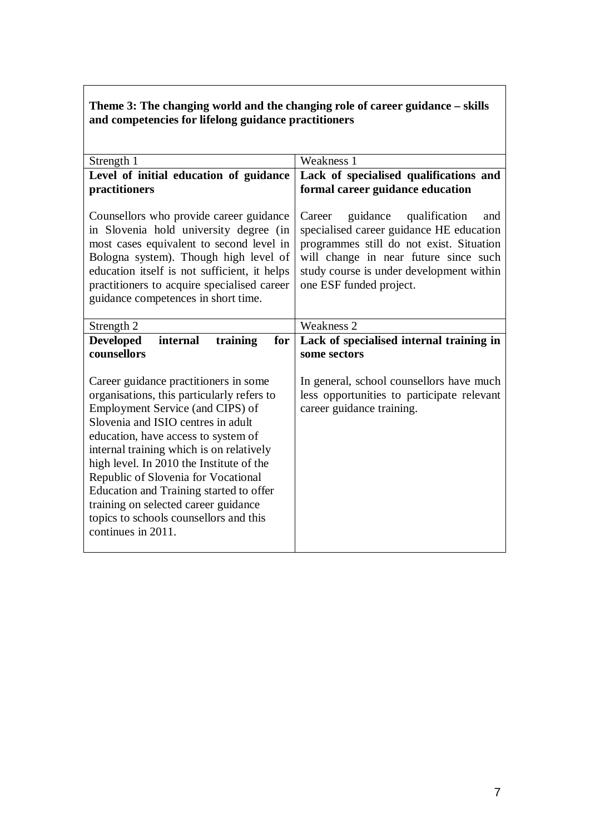## **Theme 3: The changing world and the changing role of career guidance – skills and competencies for lifelong guidance practitioners**

| Strength 1                                                                                                                                                                                                                                                                                                   | Weakness 1                                                                                                                                                                                                                                         |  |  |
|--------------------------------------------------------------------------------------------------------------------------------------------------------------------------------------------------------------------------------------------------------------------------------------------------------------|----------------------------------------------------------------------------------------------------------------------------------------------------------------------------------------------------------------------------------------------------|--|--|
| Level of initial education of guidance                                                                                                                                                                                                                                                                       | Lack of specialised qualifications and                                                                                                                                                                                                             |  |  |
| practitioners                                                                                                                                                                                                                                                                                                | formal career guidance education                                                                                                                                                                                                                   |  |  |
|                                                                                                                                                                                                                                                                                                              |                                                                                                                                                                                                                                                    |  |  |
| Counsellors who provide career guidance<br>in Slovenia hold university degree (in<br>most cases equivalent to second level in<br>Bologna system). Though high level of<br>education itself is not sufficient, it helps<br>practitioners to acquire specialised career<br>guidance competences in short time. | guidance<br>qualification<br>Career<br>and<br>specialised career guidance HE education<br>programmes still do not exist. Situation<br>will change in near future since such<br>study course is under development within<br>one ESF funded project. |  |  |
| Strength 2                                                                                                                                                                                                                                                                                                   | Weakness 2                                                                                                                                                                                                                                         |  |  |
| <b>Developed</b><br>training<br>internal<br>for                                                                                                                                                                                                                                                              | Lack of specialised internal training in                                                                                                                                                                                                           |  |  |
| counsellors                                                                                                                                                                                                                                                                                                  | some sectors                                                                                                                                                                                                                                       |  |  |
|                                                                                                                                                                                                                                                                                                              |                                                                                                                                                                                                                                                    |  |  |
| Career guidance practitioners in some                                                                                                                                                                                                                                                                        | In general, school counsellors have much                                                                                                                                                                                                           |  |  |
| organisations, this particularly refers to                                                                                                                                                                                                                                                                   | less opportunities to participate relevant                                                                                                                                                                                                         |  |  |
| Employment Service (and CIPS) of                                                                                                                                                                                                                                                                             | career guidance training.                                                                                                                                                                                                                          |  |  |
| Slovenia and ISIO centres in adult                                                                                                                                                                                                                                                                           |                                                                                                                                                                                                                                                    |  |  |
| education, have access to system of                                                                                                                                                                                                                                                                          |                                                                                                                                                                                                                                                    |  |  |
| internal training which is on relatively                                                                                                                                                                                                                                                                     |                                                                                                                                                                                                                                                    |  |  |
| high level. In 2010 the Institute of the                                                                                                                                                                                                                                                                     |                                                                                                                                                                                                                                                    |  |  |
| Republic of Slovenia for Vocational                                                                                                                                                                                                                                                                          |                                                                                                                                                                                                                                                    |  |  |
| Education and Training started to offer                                                                                                                                                                                                                                                                      |                                                                                                                                                                                                                                                    |  |  |
| training on selected career guidance                                                                                                                                                                                                                                                                         |                                                                                                                                                                                                                                                    |  |  |
| topics to schools counsellors and this                                                                                                                                                                                                                                                                       |                                                                                                                                                                                                                                                    |  |  |
| continues in 2011.                                                                                                                                                                                                                                                                                           |                                                                                                                                                                                                                                                    |  |  |
|                                                                                                                                                                                                                                                                                                              |                                                                                                                                                                                                                                                    |  |  |
|                                                                                                                                                                                                                                                                                                              |                                                                                                                                                                                                                                                    |  |  |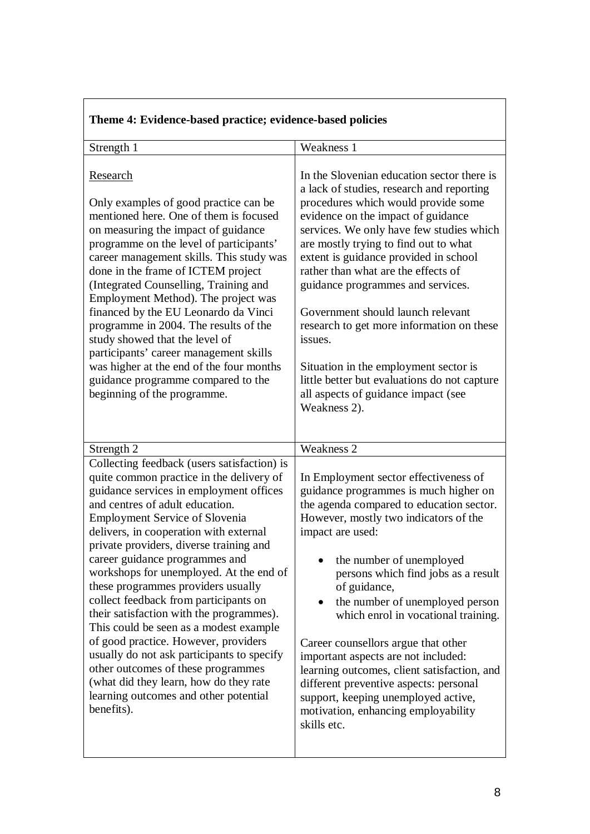| Strength 1                                                                                                                                                                                                                                                                                                                                                                                                                                                                                                                                                                                                                                                                                                                                                                         | Weakness 1                                                                                                                                                                                                                                                                                                                                                                                                                                                                                                                                                                                                                  |  |  |
|------------------------------------------------------------------------------------------------------------------------------------------------------------------------------------------------------------------------------------------------------------------------------------------------------------------------------------------------------------------------------------------------------------------------------------------------------------------------------------------------------------------------------------------------------------------------------------------------------------------------------------------------------------------------------------------------------------------------------------------------------------------------------------|-----------------------------------------------------------------------------------------------------------------------------------------------------------------------------------------------------------------------------------------------------------------------------------------------------------------------------------------------------------------------------------------------------------------------------------------------------------------------------------------------------------------------------------------------------------------------------------------------------------------------------|--|--|
| Research<br>Only examples of good practice can be<br>mentioned here. One of them is focused<br>on measuring the impact of guidance<br>programme on the level of participants'<br>career management skills. This study was<br>done in the frame of ICTEM project<br>(Integrated Counselling, Training and<br>Employment Method). The project was<br>financed by the EU Leonardo da Vinci<br>programme in 2004. The results of the<br>study showed that the level of<br>participants' career management skills<br>was higher at the end of the four months<br>guidance programme compared to the<br>beginning of the programme.                                                                                                                                                      | In the Slovenian education sector there is<br>a lack of studies, research and reporting<br>procedures which would provide some<br>evidence on the impact of guidance<br>services. We only have few studies which<br>are mostly trying to find out to what<br>extent is guidance provided in school<br>rather than what are the effects of<br>guidance programmes and services.<br>Government should launch relevant<br>research to get more information on these<br>issues.<br>Situation in the employment sector is<br>little better but evaluations do not capture<br>all aspects of guidance impact (see<br>Weakness 2). |  |  |
| Strength 2                                                                                                                                                                                                                                                                                                                                                                                                                                                                                                                                                                                                                                                                                                                                                                         | <b>Weakness 2</b>                                                                                                                                                                                                                                                                                                                                                                                                                                                                                                                                                                                                           |  |  |
| Collecting feedback (users satisfaction) is<br>quite common practice in the delivery of<br>guidance services in employment offices<br>and centres of adult education.<br><b>Employment Service of Slovenia</b><br>delivers, in cooperation with external<br>private providers, diverse training and<br>career guidance programmes and<br>workshops for unemployed. At the end of<br>these programmes providers usually<br>collect feedback from participants on<br>their satisfaction with the programmes).<br>This could be seen as a modest example<br>of good practice. However, providers<br>usually do not ask participants to specify<br>other outcomes of these programmes<br>(what did they learn, how do they rate<br>learning outcomes and other potential<br>benefits). | In Employment sector effectiveness of<br>guidance programmes is much higher on<br>the agenda compared to education sector.<br>However, mostly two indicators of the<br>impact are used:<br>the number of unemployed<br>persons which find jobs as a result<br>of guidance,<br>the number of unemployed person<br>which enrol in vocational training.<br>Career counsellors argue that other<br>important aspects are not included:<br>learning outcomes, client satisfaction, and<br>different preventive aspects: personal<br>support, keeping unemployed active,<br>motivation, enhancing employability<br>skills etc.    |  |  |

## **Theme 4: Evidence-based practice; evidence-based policies**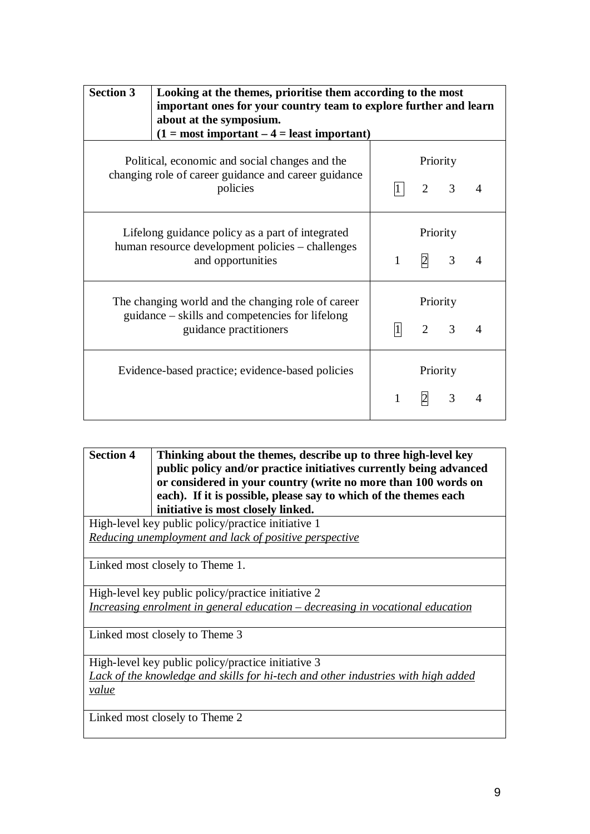| <b>Section 3</b>                                                                                                                | Looking at the themes, prioritise them according to the most<br>important ones for your country team to explore further and learn<br>about at the symposium.<br>$(1 = most important – 4 = least important)$ |              |                            |                |   |
|---------------------------------------------------------------------------------------------------------------------------------|--------------------------------------------------------------------------------------------------------------------------------------------------------------------------------------------------------------|--------------|----------------------------|----------------|---|
|                                                                                                                                 | Political, economic and social changes and the<br>changing role of career guidance and career guidance<br>policies                                                                                           |              | Priority<br>2              | $\overline{3}$ | 4 |
|                                                                                                                                 | Lifelong guidance policy as a part of integrated<br>human resource development policies – challenges<br>and opportunities                                                                                    | $\mathbf{1}$ | Priority<br>$\overline{2}$ | 3              | 4 |
| The changing world and the changing role of career<br>guidance – skills and competencies for lifelong<br>guidance practitioners |                                                                                                                                                                                                              | 1            | Priority<br>2              | 3              |   |
| Evidence-based practice; evidence-based policies                                                                                |                                                                                                                                                                                                              | 1            | Priority<br>$\overline{2}$ | 3              | 4 |

| <b>Section 4</b>                                   | Thinking about the themes, describe up to three high-level key                                                                       |  |
|----------------------------------------------------|--------------------------------------------------------------------------------------------------------------------------------------|--|
|                                                    | public policy and/or practice initiatives currently being advanced<br>or considered in your country (write no more than 100 words on |  |
|                                                    | each). If it is possible, please say to which of the themes each                                                                     |  |
|                                                    | initiative is most closely linked.                                                                                                   |  |
| High-level key public policy/practice initiative 1 |                                                                                                                                      |  |
|                                                    | Reducing unemployment and lack of positive perspective                                                                               |  |
|                                                    |                                                                                                                                      |  |
|                                                    | Linked most closely to Theme 1.                                                                                                      |  |
|                                                    | High-level key public policy/practice initiative 2                                                                                   |  |
|                                                    | Increasing enrolment in general education - decreasing in vocational education                                                       |  |
|                                                    | Linked most closely to Theme 3                                                                                                       |  |
|                                                    | High-level key public policy/practice initiative 3                                                                                   |  |
|                                                    | Lack of the knowledge and skills for hi-tech and other industries with high added                                                    |  |
| value                                              |                                                                                                                                      |  |
|                                                    | Linked most closely to Theme 2                                                                                                       |  |